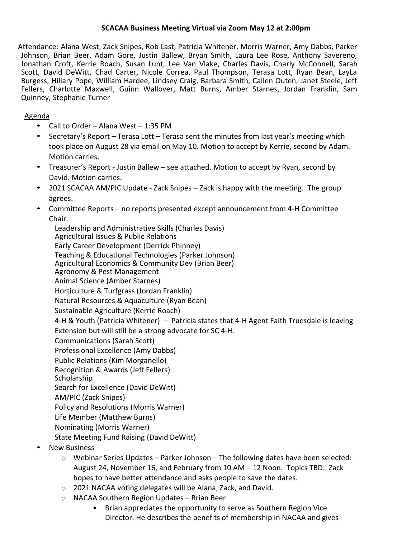# **SCACAA Business Meeting Virtual via Zoom May 12 at 2:00pm**

Attendance: Alana West, Zack Snipes, Rob Last, Patricia Whitener, Morris Warner, Amy Dabbs, Parker Johnson, Brian Beer, Adam Gore, Justin Ballew, Bryan Smith, Laura Lee Rose, Anthony Savereno, Jonathan Croft, Kerrie Roach, Susan Lunt, Lee Van Vlake, Charles Davis, Charly McConnell, Sarah Scott, David DeWitt, Chad Carter, Nicole Correa, Paul Thompson, Terasa Lott, Ryan Bean, LayLa Burgess, Hillary Pope, William Hardee, Lindsey Craig, Barbara Smith, Callen Outen, Janet Steele, Jeff Fellers, Charlotte Maxwell, Guinn Wallover, Matt Burns, Amber Starnes, Jordan Franklin, Sam Quinney, Stephanie Turner

## Agenda

- Call to Order Alana West 1:35 PM
- Secretary's Report Terasa Lott Terasa sent the minutes from last year's meeting which took place on August 28 via email on May 10. Motion to accept by Kerrie, second by Adam. Motion carries.
- Treasurer's Report Justin Ballew see attached. Motion to accept by Ryan, second by David. Motion carries.
- 2021 SCACAA AM/PIC Update Zack Snipes Zack is happy with the meeting. The group agrees.
- Committee Reports no reports presented except announcement from 4-H Committee Chair.

Leadership and Administrative Skills (Charles Davis) Agricultural Issues & Public Relations Early Career Development (Derrick Phinney) Teaching & Educational Technologies (Parker Johnson) Agricultural Economics & Community Dev (Brian Beer) Agronomy & Pest Management Animal Science (Amber Starnes) Horticulture & Turfgrass (Jordan Franklin) Natural Resources & Aquaculture (Ryan Bean) Sustainable Agriculture (Kerrie Roach) 4-H & Youth (Patricia Whitener) – Patricia states that 4-H Agent Faith Truesdale is leaving Extension but will still be a strong advocate for SC 4-H. Communications (Sarah Scott) Professional Excellence (Amy Dabbs) Public Relations (Kim Morganello) Recognition & Awards (Jeff Fellers) **Scholarship** Search for Excellence (David DeWitt) AM/PIC (Zack Snipes) Policy and Resolutions (Morris Warner) Life Member (Matthew Burns) Nominating (Morris Warner) State Meeting Fund Raising (David DeWitt)

- New Business
	- $\circ$  Webinar Series Updates Parker Johnson The following dates have been selected: August 24, November 16, and February from 10 AM – 12 Noon. Topics TBD. Zack hopes to have better attendance and asks people to save the dates.
	- o 2021 NACAA voting delegates will be Alana, Zack, and David.
	- o NACAA Southern Region Updates Brian Beer
		- Brian appreciates the opportunity to serve as Southern Region Vice Director. He describes the benefits of membership in NACAA and gives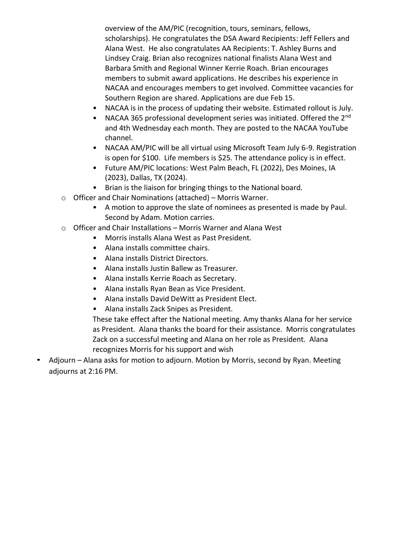overview of the AM/PIC (recognition, tours, seminars, fellows, scholarships). He congratulates the DSA Award Recipients: Jeff Fellers and Alana West. He also congratulates AA Recipients: T. Ashley Burns and Lindsey Craig. Brian also recognizes national finalists Alana West and Barbara Smith and Regional Winner Kerrie Roach. Brian encourages members to submit award applications. He describes his experience in NACAA and encourages members to get involved. Committee vacancies for Southern Region are shared. Applications are due Feb 15.

- NACAA is in the process of updating their website. Estimated rollout is July.
- NACAA 365 professional development series was initiated. Offered the 2nd and 4th Wednesday each month. They are posted to the NACAA YouTube channel.
- NACAA AM/PIC will be all virtual using Microsoft Team July 6-9. Registration is open for \$100. Life members is \$25. The attendance policy is in effect.
- Future AM/PIC locations: West Palm Beach, FL (2022), Des Moines, IA (2023), Dallas, TX (2024).
- Brian is the liaison for bringing things to the National board.
- o Officer and Chair Nominations (attached) Morris Warner.
	- A motion to approve the slate of nominees as presented is made by Paul. Second by Adam. Motion carries.
- o Officer and Chair Installations Morris Warner and Alana West
	- Morris installs Alana West as Past President.
	- Alana installs committee chairs.
	- Alana installs District Directors.
	- Alana installs Justin Ballew as Treasurer.
	- Alana installs Kerrie Roach as Secretary.
	- Alana installs Ryan Bean as Vice President.
	- Alana installs David DeWitt as President Elect.
	- Alana installs Zack Snipes as President.

These take effect after the National meeting. Amy thanks Alana for her service as President. Alana thanks the board for their assistance. Morris congratulates Zack on a successful meeting and Alana on her role as President. Alana recognizes Morris for his support and wish

• Adjourn – Alana asks for motion to adjourn. Motion by Morris, second by Ryan. Meeting adjourns at 2:16 PM.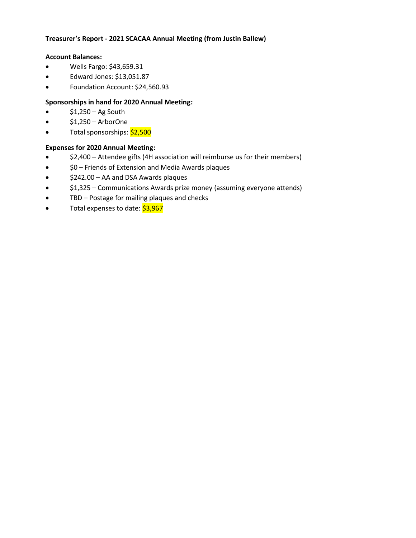## **Treasurer's Report - 2021 SCACAA Annual Meeting (from Justin Ballew)**

#### **Account Balances:**

- Wells Fargo: \$43,659.31
- Edward Jones: \$13,051.87
- Foundation Account: \$24,560.93

## **Sponsorships in hand for 2020 Annual Meeting:**

- $$1,250 Ag$  South
- $$1,250 -$  ArborOne
- Total sponsorships: \$2,500

## **Expenses for 2020 Annual Meeting:**

- \$2,400 Attendee gifts (4H association will reimburse us for their members)
- \$0 Friends of Extension and Media Awards plaques
- \$242.00 AA and DSA Awards plaques
- \$1,325 Communications Awards prize money (assuming everyone attends)
- TBD Postage for mailing plaques and checks
- Total expenses to date: \$3,967